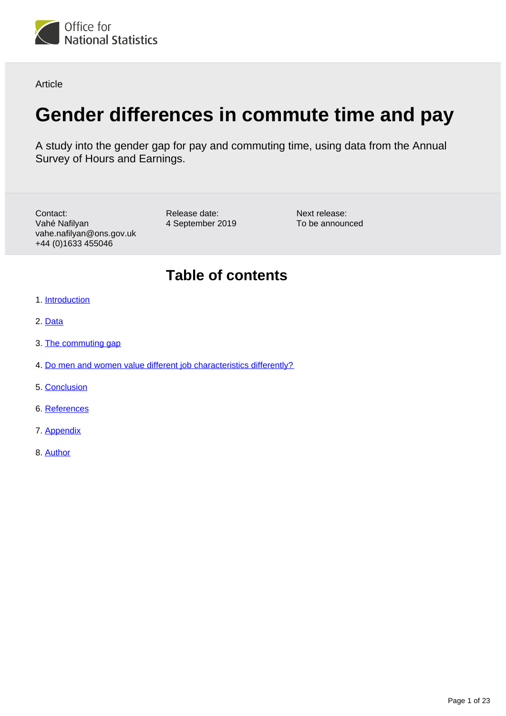<span id="page-0-0"></span>

Article

# **Gender differences in commute time and pay**

A study into the gender gap for pay and commuting time, using data from the Annual Survey of Hours and Earnings.

Contact: Vahé Nafilyan vahe.nafilyan@ons.gov.uk +44 (0)1633 455046

Release date: 4 September 2019

Next release: To be announced

## **Table of contents**

- 1. [Introduction](#page-1-0)
- 2. [Data](#page-1-1)
- 3. [The commuting gap](#page-3-0)
- 4. [Do men and women value different job characteristics differently?](#page-8-0)
- 5. [Conclusion](#page-14-0)
- 6. [References](#page-14-1)
- 7. [Appendix](#page-15-0)
- 8. [Author](#page-21-0)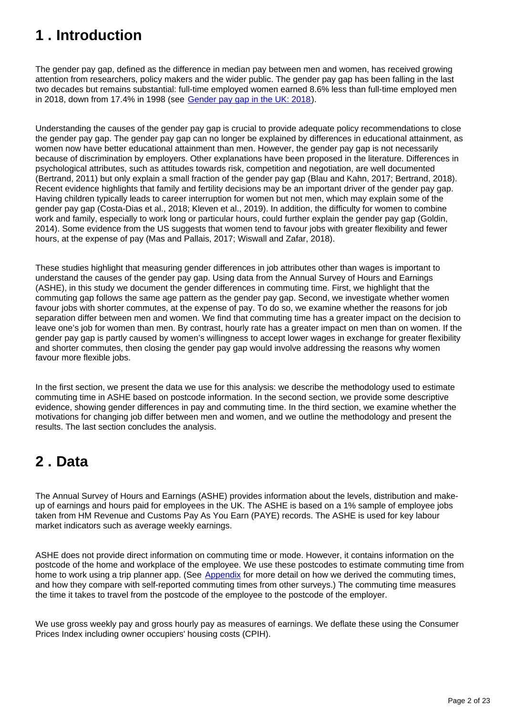## <span id="page-1-0"></span>**1 . Introduction**

The gender pay gap, defined as the difference in median pay between men and women, has received growing attention from researchers, policy makers and the wider public. The gender pay gap has been falling in the last two decades but remains substantial: full-time employed women earned 8.6% less than full-time employed men in 2018, down from 17.4% in 1998 (see [Gender pay gap in the UK: 2018](https://www.ons.gov.uk/employmentandlabourmarket/peopleinwork/earningsandworkinghours/bulletins/genderpaygapintheuk/2018)).

Understanding the causes of the gender pay gap is crucial to provide adequate policy recommendations to close the gender pay gap. The gender pay gap can no longer be explained by differences in educational attainment, as women now have better educational attainment than men. However, the gender pay gap is not necessarily because of discrimination by employers. Other explanations have been proposed in the literature. Differences in psychological attributes, such as attitudes towards risk, competition and negotiation, are well documented (Bertrand, 2011) but only explain a small fraction of the gender pay gap (Blau and Kahn, 2017; Bertrand, 2018). Recent evidence highlights that family and fertility decisions may be an important driver of the gender pay gap. Having children typically leads to career interruption for women but not men, which may explain some of the gender pay gap (Costa-Dias et al., 2018; Kleven et al., 2019). In addition, the difficulty for women to combine work and family, especially to work long or particular hours, could further explain the gender pay gap (Goldin, 2014). Some evidence from the US suggests that women tend to favour jobs with greater flexibility and fewer hours, at the expense of pay (Mas and Pallais, 2017; Wiswall and Zafar, 2018).

These studies highlight that measuring gender differences in job attributes other than wages is important to understand the causes of the gender pay gap. Using data from the Annual Survey of Hours and Earnings (ASHE), in this study we document the gender differences in commuting time. First, we highlight that the commuting gap follows the same age pattern as the gender pay gap. Second, we investigate whether women favour jobs with shorter commutes, at the expense of pay. To do so, we examine whether the reasons for job separation differ between men and women. We find that commuting time has a greater impact on the decision to leave one's job for women than men. By contrast, hourly rate has a greater impact on men than on women. If the gender pay gap is partly caused by women's willingness to accept lower wages in exchange for greater flexibility and shorter commutes, then closing the gender pay gap would involve addressing the reasons why women favour more flexible jobs.

In the first section, we present the data we use for this analysis: we describe the methodology used to estimate commuting time in ASHE based on postcode information. In the second section, we provide some descriptive evidence, showing gender differences in pay and commuting time. In the third section, we examine whether the motivations for changing job differ between men and women, and we outline the methodology and present the results. The last section concludes the analysis.

## <span id="page-1-1"></span>**2 . Data**

The Annual Survey of Hours and Earnings (ASHE) provides information about the levels, distribution and makeup of earnings and hours paid for employees in the UK. The ASHE is based on a 1% sample of employee jobs taken from HM Revenue and Customs Pay As You Earn (PAYE) records. The ASHE is used for key labour market indicators such as average weekly earnings.

ASHE does not provide direct information on commuting time or mode. However, it contains information on the postcode of the home and workplace of the employee. We use these postcodes to estimate commuting time from home to work using a trip planner app. (See [Appendix](https://www.ons.gov.uk/employmentandlabourmarket/peopleinwork/earningsandworkinghours/articles/genderdifferencesincommutetimeandpay/2019-09-04#appendix) for more detail on how we derived the commuting times, and how they compare with self-reported commuting times from other surveys.) The commuting time measures the time it takes to travel from the postcode of the employee to the postcode of the employer.

We use gross weekly pay and gross hourly pay as measures of earnings. We deflate these using the Consumer Prices Index including owner occupiers' housing costs (CPIH).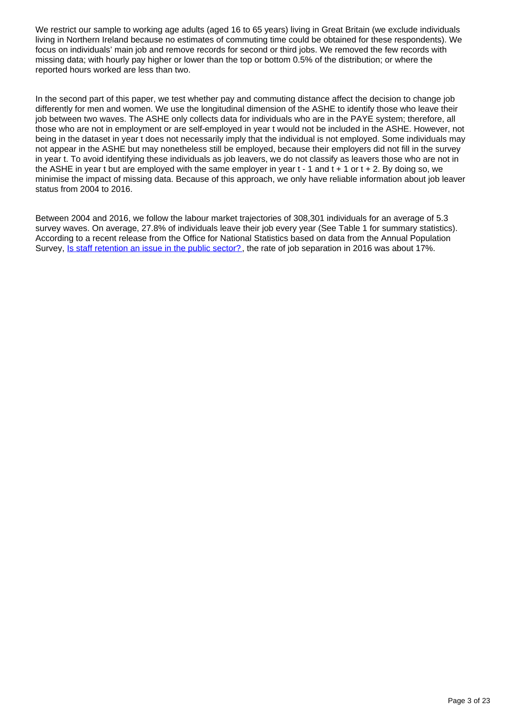We restrict our sample to working age adults (aged 16 to 65 years) living in Great Britain (we exclude individuals living in Northern Ireland because no estimates of commuting time could be obtained for these respondents). We focus on individuals' main job and remove records for second or third jobs. We removed the few records with missing data; with hourly pay higher or lower than the top or bottom 0.5% of the distribution; or where the reported hours worked are less than two.

In the second part of this paper, we test whether pay and commuting distance affect the decision to change job differently for men and women. We use the longitudinal dimension of the ASHE to identify those who leave their job between two waves. The ASHE only collects data for individuals who are in the PAYE system; therefore, all those who are not in employment or are self-employed in year t would not be included in the ASHE. However, not being in the dataset in year t does not necessarily imply that the individual is not employed. Some individuals may not appear in the ASHE but may nonetheless still be employed, because their employers did not fill in the survey in year t. To avoid identifying these individuals as job leavers, we do not classify as leavers those who are not in the ASHE in year t but are employed with the same employer in year  $t - 1$  and  $t + 1$  or  $t + 2$ . By doing so, we minimise the impact of missing data. Because of this approach, we only have reliable information about job leaver status from 2004 to 2016.

Between 2004 and 2016, we follow the labour market trajectories of 308,301 individuals for an average of 5.3 survey waves. On average, 27.8% of individuals leave their job every year (See Table 1 for summary statistics). According to a recent release from the Office for National Statistics based on data from the Annual Population Survey, [Is staff retention an issue in the public sector?](https://www.ons.gov.uk/economy/governmentpublicsectorandtaxes/publicspending/articles/isstaffretentionanissueinthepublicsector/2019-06-17) , the rate of job separation in 2016 was about 17%.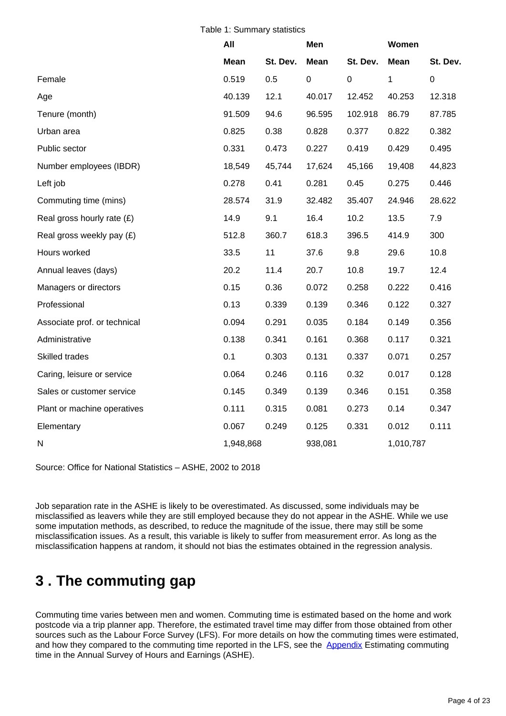|  |  | Table 1: Summary statistics |  |
|--|--|-----------------------------|--|
|--|--|-----------------------------|--|

|                              | All         |          | Men         |             | Women       |           |
|------------------------------|-------------|----------|-------------|-------------|-------------|-----------|
|                              | <b>Mean</b> | St. Dev. | <b>Mean</b> | St. Dev.    | <b>Mean</b> | St. Dev.  |
| Female                       | 0.519       | 0.5      | $\mathbf 0$ | $\mathbf 0$ | 1           | $\pmb{0}$ |
| Age                          | 40.139      | 12.1     | 40.017      | 12.452      | 40.253      | 12.318    |
| Tenure (month)               | 91.509      | 94.6     | 96.595      | 102.918     | 86.79       | 87.785    |
| Urban area                   | 0.825       | 0.38     | 0.828       | 0.377       | 0.822       | 0.382     |
| Public sector                | 0.331       | 0.473    | 0.227       | 0.419       | 0.429       | 0.495     |
| Number employees (IBDR)      | 18,549      | 45,744   | 17,624      | 45,166      | 19,408      | 44,823    |
| Left job                     | 0.278       | 0.41     | 0.281       | 0.45        | 0.275       | 0.446     |
| Commuting time (mins)        | 28.574      | 31.9     | 32.482      | 35.407      | 24.946      | 28.622    |
| Real gross hourly rate $(E)$ | 14.9        | 9.1      | 16.4        | 10.2        | 13.5        | 7.9       |
| Real gross weekly pay (£)    | 512.8       | 360.7    | 618.3       | 396.5       | 414.9       | 300       |
| Hours worked                 | 33.5        | 11       | 37.6        | 9.8         | 29.6        | 10.8      |
| Annual leaves (days)         | 20.2        | 11.4     | 20.7        | 10.8        | 19.7        | 12.4      |
| Managers or directors        | 0.15        | 0.36     | 0.072       | 0.258       | 0.222       | 0.416     |
| Professional                 | 0.13        | 0.339    | 0.139       | 0.346       | 0.122       | 0.327     |
| Associate prof. or technical | 0.094       | 0.291    | 0.035       | 0.184       | 0.149       | 0.356     |
| Administrative               | 0.138       | 0.341    | 0.161       | 0.368       | 0.117       | 0.321     |
| Skilled trades               | 0.1         | 0.303    | 0.131       | 0.337       | 0.071       | 0.257     |
| Caring, leisure or service   | 0.064       | 0.246    | 0.116       | 0.32        | 0.017       | 0.128     |
| Sales or customer service    | 0.145       | 0.349    | 0.139       | 0.346       | 0.151       | 0.358     |
| Plant or machine operatives  | 0.111       | 0.315    | 0.081       | 0.273       | 0.14        | 0.347     |
| Elementary                   | 0.067       | 0.249    | 0.125       | 0.331       | 0.012       | 0.111     |
| N                            | 1,948,868   |          | 938,081     |             | 1,010,787   |           |

Source: Office for National Statistics – ASHE, 2002 to 2018

Job separation rate in the ASHE is likely to be overestimated. As discussed, some individuals may be misclassified as leavers while they are still employed because they do not appear in the ASHE. While we use some imputation methods, as described, to reduce the magnitude of the issue, there may still be some misclassification issues. As a result, this variable is likely to suffer from measurement error. As long as the misclassification happens at random, it should not bias the estimates obtained in the regression analysis.

## <span id="page-3-0"></span>**3 . The commuting gap**

Commuting time varies between men and women. Commuting time is estimated based on the home and work postcode via a trip planner app. Therefore, the estimated travel time may differ from those obtained from other sources such as the Labour Force Survey (LFS). For more details on how the commuting times were estimated, and how they compared to the commuting time reported in the LFS, see the **[Appendix](https://www.ons.gov.uk/employmentandlabourmarket/peopleinwork/earningsandworkinghours/articles/genderdifferencesincommutetimeandpay/2019-09-04#appendix)** Estimating commuting time in the Annual Survey of Hours and Earnings (ASHE).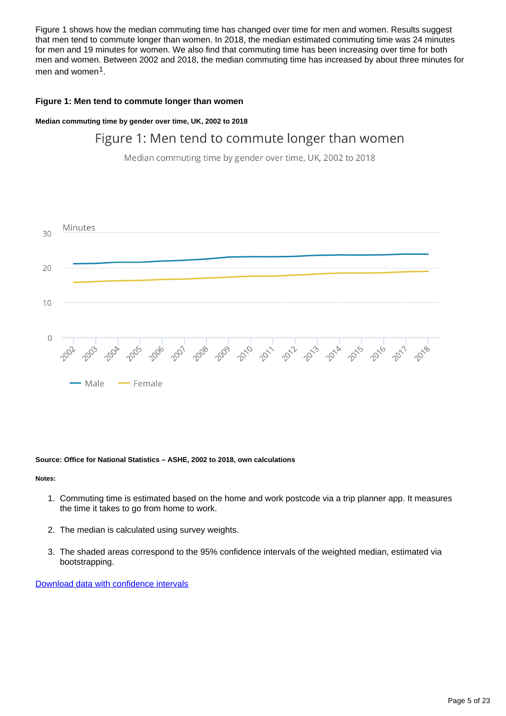Figure 1 shows how the median commuting time has changed over time for men and women. Results suggest that men tend to commute longer than women. In 2018, the median estimated commuting time was 24 minutes for men and 19 minutes for women. We also find that commuting time has been increasing over time for both men and women. Between 2002 and 2018, the median commuting time has increased by about three minutes for men and women<sup>1</sup>.

### **Figure 1: Men tend to commute longer than women**

**Median commuting time by gender over time, UK, 2002 to 2018**

### Figure 1: Men tend to commute longer than women

Median commuting time by gender over time, UK, 2002 to 2018



### **Source: Office for National Statistics – ASHE, 2002 to 2018, own calculations**

**Notes:**

- 1. Commuting time is estimated based on the home and work postcode via a trip planner app. It measures the time it takes to go from home to work.
- 2. The median is calculated using survey weights.
- 3. The shaded areas correspond to the 95% confidence intervals of the weighted median, estimated via bootstrapping.

[Download data with confidence intervals](https://www.ons.gov.uk/visualisations/dvc4000/Fig1data.xlsx)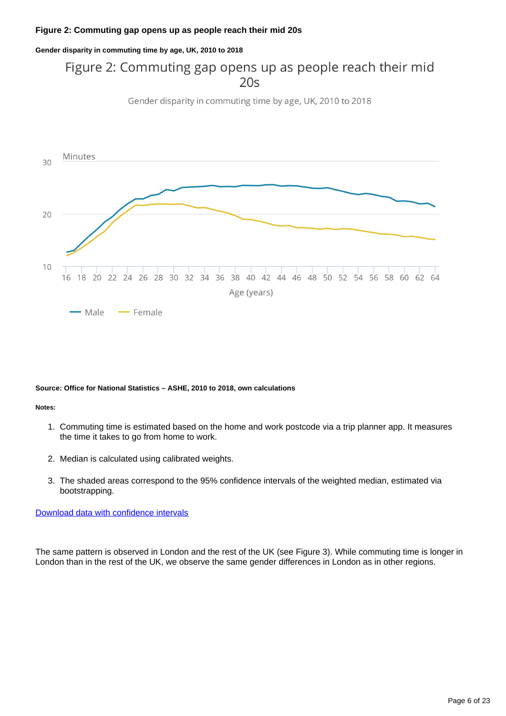### **Figure 2: Commuting gap opens up as people reach their mid 20s**

**Gender disparity in commuting time by age, UK, 2010 to 2018**

### Figure 2: Commuting gap opens up as people reach their mid  $20s$

Gender disparity in commuting time by age, UK, 2010 to 2018



#### **Source: Office for National Statistics – ASHE, 2010 to 2018, own calculations**

#### **Notes:**

- 1. Commuting time is estimated based on the home and work postcode via a trip planner app. It measures the time it takes to go from home to work.
- 2. Median is calculated using calibrated weights.
- 3. The shaded areas correspond to the 95% confidence intervals of the weighted median, estimated via bootstrapping.

### [Download data with confidence intervals](https://www.ons.gov.uk/visualisations/dvc4000/Fig2data.xlsx)

The same pattern is observed in London and the rest of the UK (see Figure 3). While commuting time is longer in London than in the rest of the UK, we observe the same gender differences in London as in other regions.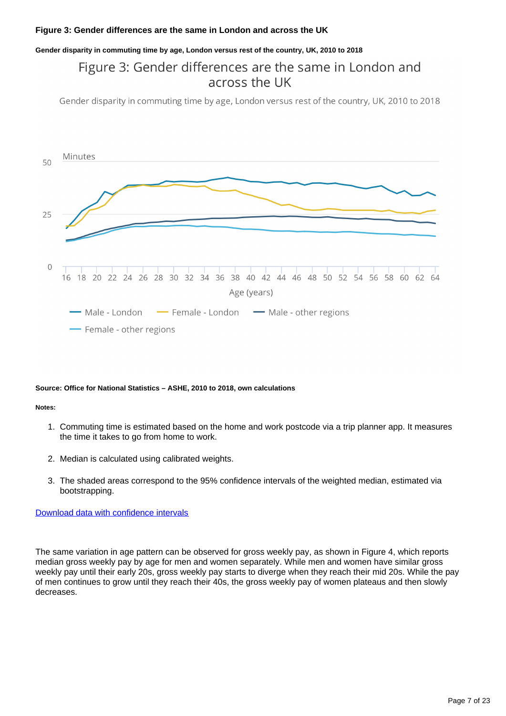### **Figure 3: Gender differences are the same in London and across the UK**

### **Gender disparity in commuting time by age, London versus rest of the country, UK, 2010 to 2018**

### Figure 3: Gender differences are the same in London and across the UK

Gender disparity in commuting time by age, London versus rest of the country, UK, 2010 to 2018



#### **Source: Office for National Statistics – ASHE, 2010 to 2018, own calculations**

#### **Notes:**

- 1. Commuting time is estimated based on the home and work postcode via a trip planner app. It measures the time it takes to go from home to work.
- 2. Median is calculated using calibrated weights.
- 3. The shaded areas correspond to the 95% confidence intervals of the weighted median, estimated via bootstrapping.

### [Download data with confidence intervals](https://www.ons.gov.uk/visualisations/dvc4000/Fig3data.xlsx)

The same variation in age pattern can be observed for gross weekly pay, as shown in Figure 4, which reports median gross weekly pay by age for men and women separately. While men and women have similar gross weekly pay until their early 20s, gross weekly pay starts to diverge when they reach their mid 20s. While the pay of men continues to grow until they reach their 40s, the gross weekly pay of women plateaus and then slowly decreases.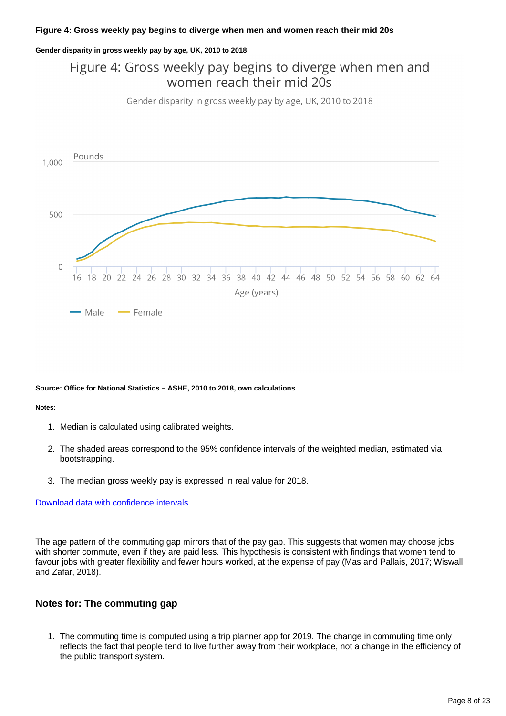### **Figure 4: Gross weekly pay begins to diverge when men and women reach their mid 20s**

#### **Gender disparity in gross weekly pay by age, UK, 2010 to 2018**

### Figure 4: Gross weekly pay begins to diverge when men and women reach their mid 20s

Gender disparity in gross weekly pay by age, UK, 2010 to 2018



#### **Source: Office for National Statistics – ASHE, 2010 to 2018, own calculations**

#### **Notes:**

- 1. Median is calculated using calibrated weights.
- 2. The shaded areas correspond to the 95% confidence intervals of the weighted median, estimated via bootstrapping.
- 3. The median gross weekly pay is expressed in real value for 2018.

### [Download data with confidence intervals](https://www.ons.gov.uk/visualisations/dvc4000/Fig4data.xlsx)

The age pattern of the commuting gap mirrors that of the pay gap. This suggests that women may choose jobs with shorter commute, even if they are paid less. This hypothesis is consistent with findings that women tend to favour jobs with greater flexibility and fewer hours worked, at the expense of pay (Mas and Pallais, 2017; Wiswall and Zafar, 2018).

### **Notes for: The commuting gap**

1. The commuting time is computed using a trip planner app for 2019. The change in commuting time only reflects the fact that people tend to live further away from their workplace, not a change in the efficiency of the public transport system.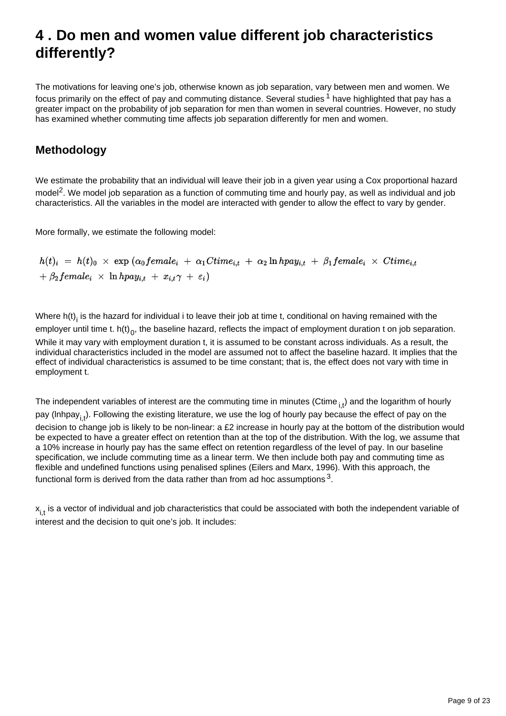## <span id="page-8-0"></span>**4 . Do men and women value different job characteristics differently?**

The motivations for leaving one's job, otherwise known as job separation, vary between men and women. We focus primarily on the effect of pay and commuting distance. Several studies  $1$  have highlighted that pay has a greater impact on the probability of job separation for men than women in several countries. However, no study has examined whether commuting time affects job separation differently for men and women.

### **Methodology**

We estimate the probability that an individual will leave their job in a given year using a Cox proportional hazard model<sup>2</sup>. We model job separation as a function of commuting time and hourly pay, as well as individual and job characteristics. All the variables in the model are interacted with gender to allow the effect to vary by gender.

More formally, we estimate the following model:

$$
h(t)_i = h(t)_0 \times \exp(\alpha_0 female_i + \alpha_1 Ctime_{i,t} + \alpha_2 ln hpay_{i,t} + \beta_1 female_i \times Ctime_{i,t} + \beta_2 female_i \times ln hpay_{i,t} + x_{i,t} \gamma + \varepsilon_i)
$$

Where  $h(t)$  is the hazard for individual i to leave their job at time t, conditional on having remained with the employer until time t. h(t)<sub>0</sub>, the baseline hazard, reflects the impact of employment duration t on job separation. While it may vary with employment duration t, it is assumed to be constant across individuals. As a result, the individual characteristics included in the model are assumed not to affect the baseline hazard. It implies that the effect of individual characteristics is assumed to be time constant; that is, the effect does not vary with time in employment t.

The independent variables of interest are the commuting time in minutes (Ctime  $_{i}$ ) and the logarithm of hourly pay (Inhpay<sub>it</sub>). Following the existing literature, we use the log of hourly pay because the effect of pay on the decision to change job is likely to be non-linear: a £2 increase in hourly pay at the bottom of the distribution would be expected to have a greater effect on retention than at the top of the distribution. With the log, we assume that a 10% increase in hourly pay has the same effect on retention regardless of the level of pay. In our baseline specification, we include commuting time as a linear term. We then include both pay and commuting time as flexible and undefined functions using penalised splines (Eilers and Marx, 1996). With this approach, the functional form is derived from the data rather than from ad hoc assumptions  $^3\!$ 

 $x_{i,t}$  is a vector of individual and job characteristics that could be associated with both the independent variable of interest and the decision to quit one's job. It includes: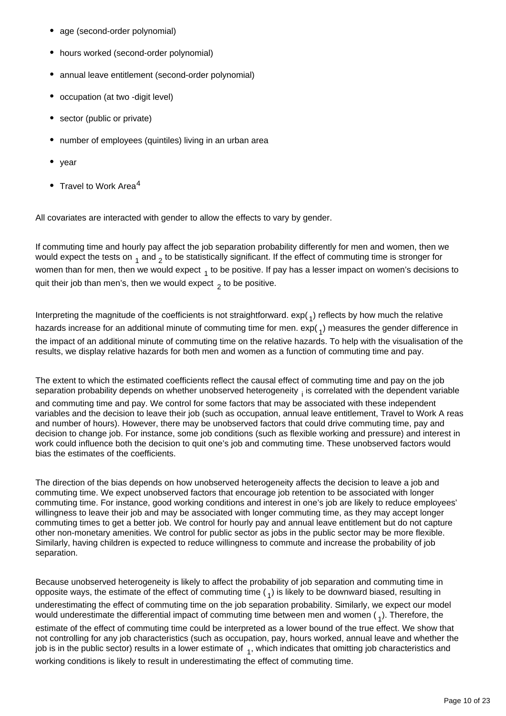- age (second-order polynomial)
- hours worked (second-order polynomial)
- annual leave entitlement (second-order polynomial)
- occupation (at two -digit level)
- sector (public or private)
- number of employees (quintiles) living in an urban area
- year
- Travel to Work Area<sup>4</sup>

All covariates are interacted with gender to allow the effects to vary by gender.

If commuting time and hourly pay affect the job separation probability differently for men and women, then we would expect the tests on  $_1$  and  $_2$  to be statistically significant. If the effect of commuting time is stronger for women than for men, then we would expect  $_1$  to be positive. If pay has a lesser impact on women's decisions to quit their job than men's, then we would expect  $\frac{1}{2}$  to be positive.

Interpreting the magnitude of the coefficients is not straightforward.  $exp(1)$  reflects by how much the relative hazards increase for an additional minute of commuting time for men.  $exp(1)$  measures the gender difference in the impact of an additional minute of commuting time on the relative hazards. To help with the visualisation of the results, we display relative hazards for both men and women as a function of commuting time and pay.

The extent to which the estimated coefficients reflect the causal effect of commuting time and pay on the job separation probability depends on whether unobserved heterogeneity  $_i$  is correlated with the dependent variable

and commuting time and pay. We control for some factors that may be associated with these independent variables and the decision to leave their job (such as occupation, annual leave entitlement, Travel to Work A reas and number of hours). However, there may be unobserved factors that could drive commuting time, pay and decision to change job. For instance, some job conditions (such as flexible working and pressure) and interest in work could influence both the decision to quit one's job and commuting time. These unobserved factors would bias the estimates of the coefficients.

The direction of the bias depends on how unobserved heterogeneity affects the decision to leave a job and commuting time. We expect unobserved factors that encourage job retention to be associated with longer commuting time. For instance, good working conditions and interest in one's job are likely to reduce employees' willingness to leave their job and may be associated with longer commuting time, as they may accept longer commuting times to get a better job. We control for hourly pay and annual leave entitlement but do not capture other non-monetary amenities. We control for public sector as jobs in the public sector may be more flexible. Similarly, having children is expected to reduce willingness to commute and increase the probability of job separation.

Because unobserved heterogeneity is likely to affect the probability of job separation and commuting time in opposite ways, the estimate of the effect of commuting time  $\binom{1}{1}$  is likely to be downward biased, resulting in underestimating the effect of commuting time on the job separation probability. Similarly, we expect our model would underestimate the differential impact of commuting time between men and women  $\binom{1}{1}$ . Therefore, the estimate of the effect of commuting time could be interpreted as a lower bound of the true effect. We show that not controlling for any job characteristics (such as occupation, pay, hours worked, annual leave and whether the job is in the public sector) results in a lower estimate of  $_1$ , which indicates that omitting job characteristics and working conditions is likely to result in underestimating the effect of commuting time.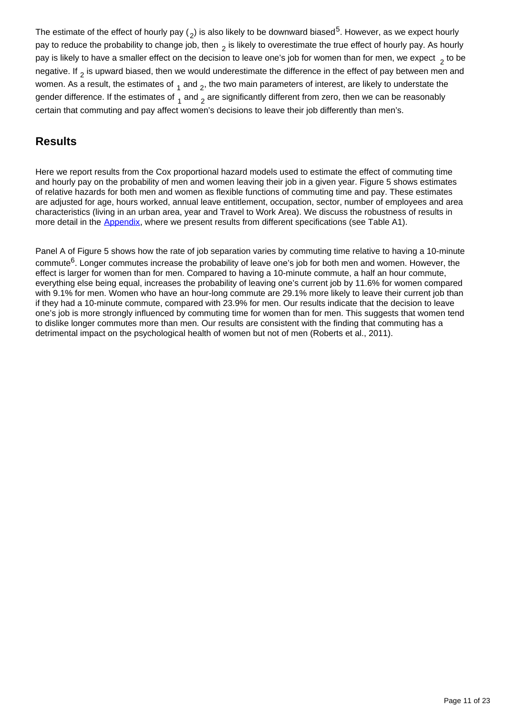The estimate of the effect of hourly pay ( $_2$ ) is also likely to be downward biased<sup>5</sup>. However, as we expect hourly pay to reduce the probability to change job, then  $\frac{1}{2}$  is likely to overestimate the true effect of hourly pay. As hourly pay is likely to have a smaller effect on the decision to leave one's job for women than for men, we expect  $\frac{1}{2}$  to be negative. If  $_2$  is upward biased, then we would underestimate the difference in the effect of pay between men and women. As a result, the estimates of  $_1$  and  $_2$ , the two main parameters of interest, are likely to understate the gender difference. If the estimates of  $_4$  and  $_2$  are significantly different from zero, then we can be reasonably certain that commuting and pay affect women's decisions to leave their job differently than men's.

### **Results**

Here we report results from the Cox proportional hazard models used to estimate the effect of commuting time and hourly pay on the probability of men and women leaving their job in a given year. Figure 5 shows estimates of relative hazards for both men and women as flexible functions of commuting time and pay. These estimates are adjusted for age, hours worked, annual leave entitlement, occupation, sector, number of employees and area characteristics (living in an urban area, year and Travel to Work Area). We discuss the robustness of results in more detail in the [Appendix,](https://www.ons.gov.uk/employmentandlabourmarket/peopleinwork/earningsandworkinghours/articles/genderdifferencesincommutetimeandpay/2019-09-04#appendix) where we present results from different specifications (see Table A1).

Panel A of Figure 5 shows how the rate of job separation varies by commuting time relative to having a 10-minute commute<sup>6</sup>. Longer commutes increase the probability of leave one's job for both men and women. However, the effect is larger for women than for men. Compared to having a 10-minute commute, a half an hour commute, everything else being equal, increases the probability of leaving one's current job by 11.6% for women compared with 9.1% for men. Women who have an hour-long commute are 29.1% more likely to leave their current job than if they had a 10-minute commute, compared with 23.9% for men. Our results indicate that the decision to leave one's job is more strongly influenced by commuting time for women than for men. This suggests that women tend to dislike longer commutes more than men. Our results are consistent with the finding that commuting has a detrimental impact on the psychological health of women but not of men (Roberts et al., 2011).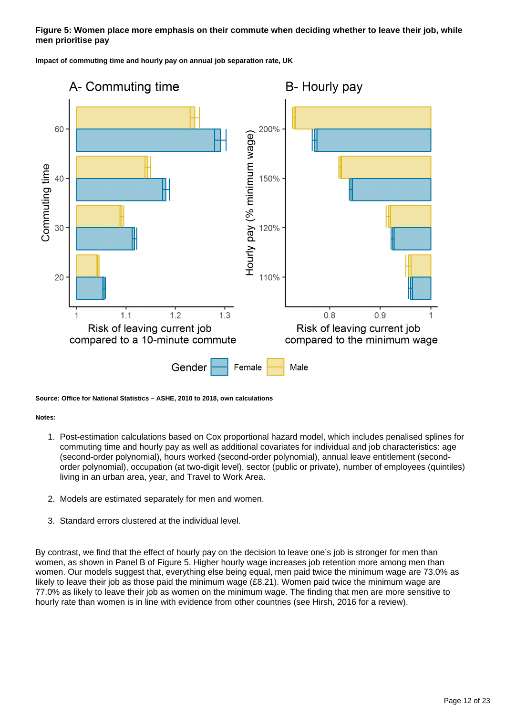### **Figure 5: Women place more emphasis on their commute when deciding whether to leave their job, while men prioritise pay**

**Impact of commuting time and hourly pay on annual job separation rate, UK**



#### **Source: Office for National Statistics – ASHE, 2010 to 2018, own calculations**

#### **Notes:**

- 1. Post-estimation calculations based on Cox proportional hazard model, which includes penalised splines for commuting time and hourly pay as well as additional covariates for individual and job characteristics: age (second-order polynomial), hours worked (second-order polynomial), annual leave entitlement (secondorder polynomial), occupation (at two-digit level), sector (public or private), number of employees (quintiles) living in an urban area, year, and Travel to Work Area.
- 2. Models are estimated separately for men and women.
- 3. Standard errors clustered at the individual level.

By contrast, we find that the effect of hourly pay on the decision to leave one's job is stronger for men than women, as shown in Panel B of Figure 5. Higher hourly wage increases job retention more among men than women. Our models suggest that, everything else being equal, men paid twice the minimum wage are 73.0% as likely to leave their job as those paid the minimum wage (£8.21). Women paid twice the minimum wage are 77.0% as likely to leave their job as women on the minimum wage. The finding that men are more sensitive to hourly rate than women is in line with evidence from other countries (see Hirsh, 2016 for a review).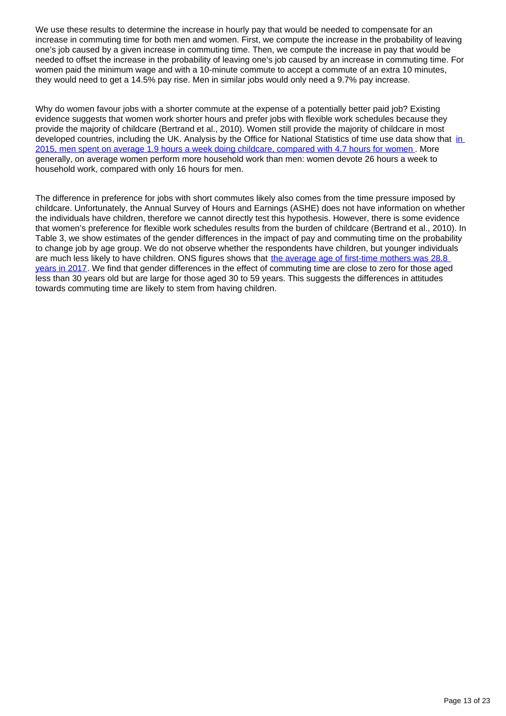We use these results to determine the increase in hourly pay that would be needed to compensate for an increase in commuting time for both men and women. First, we compute the increase in the probability of leaving one's job caused by a given increase in commuting time. Then, we compute the increase in pay that would be needed to offset the increase in the probability of leaving one's job caused by an increase in commuting time. For women paid the minimum wage and with a 10-minute commute to accept a commute of an extra 10 minutes, they would need to get a 14.5% pay rise. Men in similar jobs would only need a 9.7% pay increase.

Why do women favour jobs with a shorter commute at the expense of a potentially better paid job? Existing evidence suggests that women work shorter hours and prefer jobs with flexible work schedules because they provide the majority of childcare (Bertrand et al., 2010). Women still provide the majority of childcare in most developed countries, including the UK. Analysis by the Office for National Statistics of time use data show that [in](https://www.ons.gov.uk/employmentandlabourmarket/peopleinwork/earningsandworkinghours/articles/womenshouldertheresponsibilityofunpaidwork/2016-11-10)  [2015, men spent on average 1.9 hours a week doing childcare, compared with 4.7 hours for women](https://www.ons.gov.uk/employmentandlabourmarket/peopleinwork/earningsandworkinghours/articles/womenshouldertheresponsibilityofunpaidwork/2016-11-10) . More generally, on average women perform more household work than men: women devote 26 hours a week to household work, compared with only 16 hours for men.

The difference in preference for jobs with short commutes likely also comes from the time pressure imposed by childcare. Unfortunately, the Annual Survey of Hours and Earnings (ASHE) does not have information on whether the individuals have children, therefore we cannot directly test this hypothesis. However, there is some evidence that women's preference for flexible work schedules results from the burden of childcare (Bertrand et al., 2010). In Table 3, we show estimates of the gender differences in the impact of pay and commuting time on the probability to change job by age group. We do not observe whether the respondents have children, but younger individuals are much less likely to have children. ONS figures shows that [the average age of first-time mothers was 28.8](https://www.ons.gov.uk/peoplepopulationandcommunity/birthsdeathsandmarriages/livebirths/bulletins/birthcharacteristicsinenglandandwales/2017)  [years in 2017.](https://www.ons.gov.uk/peoplepopulationandcommunity/birthsdeathsandmarriages/livebirths/bulletins/birthcharacteristicsinenglandandwales/2017) We find that gender differences in the effect of commuting time are close to zero for those aged less than 30 years old but are large for those aged 30 to 59 years. This suggests the differences in attitudes towards commuting time are likely to stem from having children.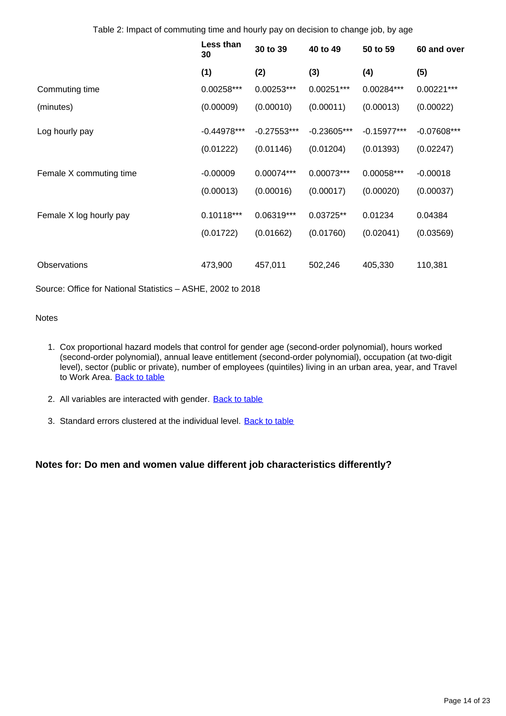Table 2: Impact of commuting time and hourly pay on decision to change job, by age

|                         | Less than<br>30 | 30 to 39      | 40 to 49      | 50 to 59      | 60 and over   |
|-------------------------|-----------------|---------------|---------------|---------------|---------------|
|                         | (1)             | (2)           | (3)           | (4)           | (5)           |
| Commuting time          | 0.00258***      | $0.00253***$  | 0.00251***    | 0.00284***    | $0.00221***$  |
| (minutes)               | (0.00009)       | (0.00010)     | (0.00011)     | (0.00013)     | (0.00022)     |
| Log hourly pay          | $-0.44978***$   | $-0.27553***$ | $-0.23605***$ | $-0.15977***$ | $-0.07608***$ |
|                         | (0.01222)       | (0.01146)     | (0.01204)     | (0.01393)     | (0.02247)     |
| Female X commuting time | $-0.00009$      | 0.00074***    | 0.00073***    | 0.00058***    | $-0.00018$    |
|                         | (0.00013)       | (0.00016)     | (0.00017)     | (0.00020)     | (0.00037)     |
| Female X log hourly pay | $0.10118***$    | 0.06319***    | 0.03725**     | 0.01234       | 0.04384       |
|                         | (0.01722)       | (0.01662)     | (0.01760)     | (0.02041)     | (0.03569)     |
| Observations            | 473,900         | 457,011       | 502,246       | 405,330       | 110,381       |

Source: Office for National Statistics – ASHE, 2002 to 2018

### **Notes**

- 1. Cox proportional hazard models that control for gender age (second-order polynomial), hours worked (second-order polynomial), annual leave entitlement (second-order polynomial), occupation (at two-digit level), sector (public or private), number of employees (quintiles) living in an urban area, year, and Travel to Work Area. [Back to table](#page-0-0)
- 2. All variables are interacted with gender. **[Back to table](#page-0-0)**
- 3. Standard errors clustered at the individual level. **[Back to table](#page-0-0)**

### **Notes for: Do men and women value different job characteristics differently?**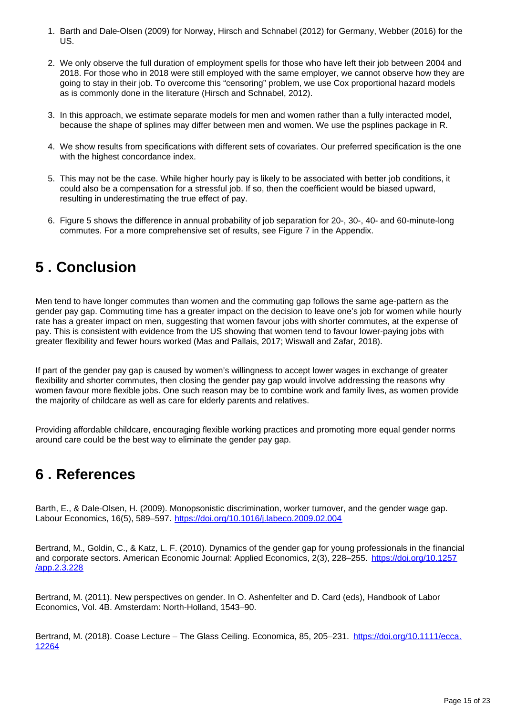- 1. Barth and Dale-Olsen (2009) for Norway, Hirsch and Schnabel (2012) for Germany, Webber (2016) for the US.
- 2. We only observe the full duration of employment spells for those who have left their job between 2004 and 2018. For those who in 2018 were still employed with the same employer, we cannot observe how they are going to stay in their job. To overcome this "censoring" problem, we use Cox proportional hazard models as is commonly done in the literature (Hirsch and Schnabel, 2012).
- 3. In this approach, we estimate separate models for men and women rather than a fully interacted model, because the shape of splines may differ between men and women. We use the psplines package in R.
- 4. We show results from specifications with different sets of covariates. Our preferred specification is the one with the highest concordance index.
- 5. This may not be the case. While higher hourly pay is likely to be associated with better job conditions, it could also be a compensation for a stressful job. If so, then the coefficient would be biased upward, resulting in underestimating the true effect of pay.
- 6. Figure 5 shows the difference in annual probability of job separation for 20-, 30-, 40- and 60-minute-long commutes. For a more comprehensive set of results, see Figure 7 in the Appendix.

## <span id="page-14-0"></span>**5 . Conclusion**

Men tend to have longer commutes than women and the commuting gap follows the same age-pattern as the gender pay gap. Commuting time has a greater impact on the decision to leave one's job for women while hourly rate has a greater impact on men, suggesting that women favour jobs with shorter commutes, at the expense of pay. This is consistent with evidence from the US showing that women tend to favour lower-paying jobs with greater flexibility and fewer hours worked (Mas and Pallais, 2017; Wiswall and Zafar, 2018).

If part of the gender pay gap is caused by women's willingness to accept lower wages in exchange of greater flexibility and shorter commutes, then closing the gender pay gap would involve addressing the reasons why women favour more flexible jobs. One such reason may be to combine work and family lives, as women provide the majority of childcare as well as care for elderly parents and relatives.

Providing affordable childcare, encouraging flexible working practices and promoting more equal gender norms around care could be the best way to eliminate the gender pay gap.

## <span id="page-14-1"></span>**6 . References**

Barth, E., & Dale-Olsen, H. (2009). Monopsonistic discrimination, worker turnover, and the gender wage gap. Labour Economics, 16(5), 589–597. <https://doi.org/10.1016/j.labeco.2009.02.004>

Bertrand, M., Goldin, C., & Katz, L. F. (2010). Dynamics of the gender gap for young professionals in the financial and corporate sectors. American Economic Journal: Applied Economics, 2(3), 228–255. [https://doi.org/10.1257](https://doi.org/10.1257/app.2.3.228) [/app.2.3.228](https://doi.org/10.1257/app.2.3.228)

Bertrand, M. (2011). New perspectives on gender. In O. Ashenfelter and D. Card (eds), Handbook of Labor Economics, Vol. 4B. Amsterdam: North-Holland, 1543–90.

Bertrand, M. (2018). Coase Lecture – The Glass Ceiling. Economica, 85, 205–231. [https://doi.org/10.1111/ecca.](https://doi.org/10.1111/ecca.12264) [12264](https://doi.org/10.1111/ecca.12264)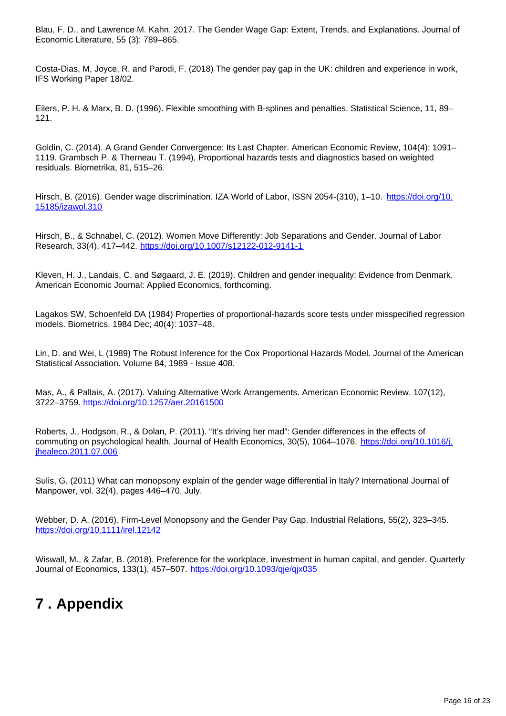Blau, F. D., and Lawrence M. Kahn. 2017. The Gender Wage Gap: Extent, Trends, and Explanations. Journal of Economic Literature, 55 (3): 789–865.

Costa-Dias, M, Joyce, R. and Parodi, F. (2018) The gender pay gap in the UK: children and experience in work, IFS Working Paper 18/02.

Eilers, P. H. & Marx, B. D. (1996). Flexible smoothing with B-splines and penalties. Statistical Science, 11, 89– 121.

Goldin, C. (2014). A Grand Gender Convergence: Its Last Chapter. American Economic Review, 104(4): 1091– 1119. Grambsch P. & Therneau T. (1994), Proportional hazards tests and diagnostics based on weighted residuals. Biometrika, 81, 515–26.

Hirsch, B. (2016). Gender wage discrimination. IZA World of Labor, ISSN 2054-(310), 1-10. [https://doi.org/10.](https://doi.org/10.15185/izawol.310) [15185/izawol.310](https://doi.org/10.15185/izawol.310)

Hirsch, B., & Schnabel, C. (2012). Women Move Differently: Job Separations and Gender. Journal of Labor Research, 33(4), 417–442. <https://doi.org/10.1007/s12122-012-9141-1>

Kleven, H. J., Landais, C. and Søgaard, J. E. (2019). Children and gender inequality: Evidence from Denmark. American Economic Journal: Applied Economics, forthcoming.

Lagakos SW, Schoenfeld DA (1984) Properties of proportional-hazards score tests under misspecified regression models. Biometrics. 1984 Dec; 40(4): 1037–48.

Lin, D. and Wei, L (1989) The Robust Inference for the Cox Proportional Hazards Model. Journal of the American Statistical Association. Volume 84, 1989 - Issue 408.

Mas, A., & Pallais, A. (2017). Valuing Alternative Work Arrangements. American Economic Review. 107(12), 3722–3759. <https://doi.org/10.1257/aer.20161500>

Roberts, J., Hodgson, R., & Dolan, P. (2011). "It's driving her mad": Gender differences in the effects of commuting on psychological health. Journal of Health Economics, 30(5), 1064-1076. [https://doi.org/10.1016/j.](https://doi.org/10.1016/j.jhealeco.2011.07.006) [jhealeco.2011.07.006](https://doi.org/10.1016/j.jhealeco.2011.07.006)

Sulis, G. (2011) What can monopsony explain of the gender wage differential in Italy? International Journal of Manpower, vol. 32(4), pages 446–470, July.

Webber, D. A. (2016). Firm-Level Monopsony and the Gender Pay Gap. Industrial Relations, 55(2), 323–345. <https://doi.org/10.1111/irel.12142>

Wiswall, M., & Zafar, B. (2018). Preference for the workplace, investment in human capital, and gender. Quarterly Journal of Economics, 133(1), 457-507. <https://doi.org/10.1093/qje/qjx035>

### <span id="page-15-0"></span>**7 . Appendix**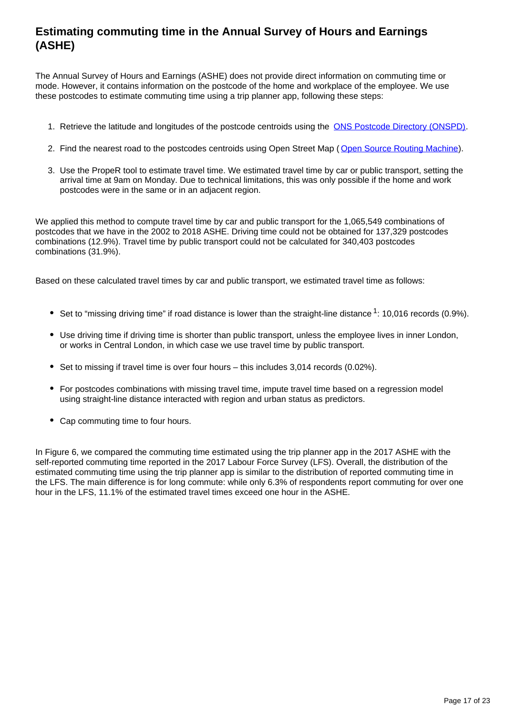### **Estimating commuting time in the Annual Survey of Hours and Earnings (ASHE)**

The Annual Survey of Hours and Earnings (ASHE) does not provide direct information on commuting time or mode. However, it contains information on the postcode of the home and workplace of the employee. We use these postcodes to estimate commuting time using a trip planner app, following these steps:

- 1. Retrieve the latitude and longitudes of the postcode centroids using the [ONS Postcode Directory \(ONSPD\)](https://ons.maps.arcgis.com/home/item.html?id=abd42fce1e944431b4f24881b5bb048d).
- 2. Find the nearest road to the postcodes centroids using Open Street Map ([Open Source Routing Machine\)](http://project-osrm.org/).
- 3. Use the PropeR tool to estimate travel time. We estimated travel time by car or public transport, setting the arrival time at 9am on Monday. Due to technical limitations, this was only possible if the home and work postcodes were in the same or in an adjacent region.

We applied this method to compute travel time by car and public transport for the 1,065,549 combinations of postcodes that we have in the 2002 to 2018 ASHE. Driving time could not be obtained for 137,329 postcodes combinations (12.9%). Travel time by public transport could not be calculated for 340,403 postcodes combinations (31.9%).

Based on these calculated travel times by car and public transport, we estimated travel time as follows:

- Set to "missing driving time" if road distance is lower than the straight-line distance  $1:10,016$  records (0.9%).
- Use driving time if driving time is shorter than public transport, unless the employee lives in inner London, or works in Central London, in which case we use travel time by public transport.
- $\bullet$  Set to missing if travel time is over four hours this includes 3,014 records (0.02%).
- For postcodes combinations with missing travel time, impute travel time based on a regression model using straight-line distance interacted with region and urban status as predictors.
- Cap commuting time to four hours.

In Figure 6, we compared the commuting time estimated using the trip planner app in the 2017 ASHE with the self-reported commuting time reported in the 2017 Labour Force Survey (LFS). Overall, the distribution of the estimated commuting time using the trip planner app is similar to the distribution of reported commuting time in the LFS. The main difference is for long commute: while only 6.3% of respondents report commuting for over one hour in the LFS, 11.1% of the estimated travel times exceed one hour in the ASHE.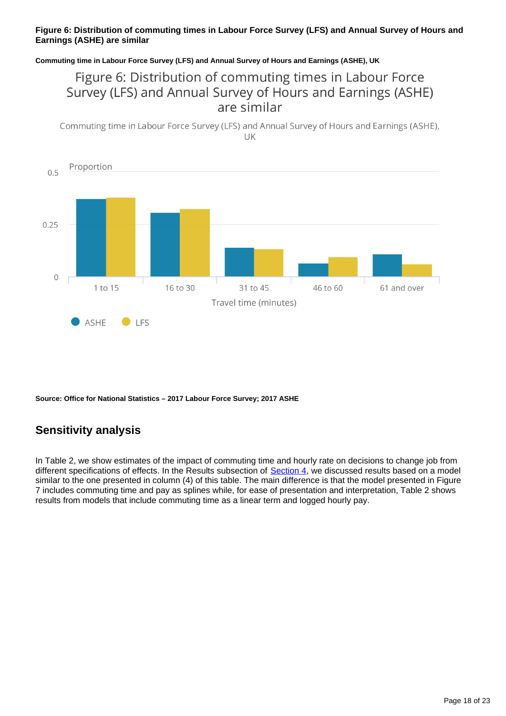### **Figure 6: Distribution of commuting times in Labour Force Survey (LFS) and Annual Survey of Hours and Earnings (ASHE) are similar**

### **Commuting time in Labour Force Survey (LFS) and Annual Survey of Hours and Earnings (ASHE), UK**

### Figure 6: Distribution of commuting times in Labour Force Survey (LFS) and Annual Survey of Hours and Earnings (ASHE) are similar

Commuting time in Labour Force Survey (LFS) and Annual Survey of Hours and Earnings (ASHE), UK



**Source: Office for National Statistics – 2017 Labour Force Survey; 2017 ASHE**

### **Sensitivity analysis**

In Table 2, we show estimates of the impact of commuting time and hourly rate on decisions to change job from different specifications of effects. In the Results subsection of [Section 4,](https://www.ons.gov.uk/employmentandlabourmarket/peopleinwork/earningsandworkinghours/articles/genderdifferencesincommutetimeandpay/2019-09-04#do-men-and-women-value-different-job-characteristics-differently) we discussed results based on a model similar to the one presented in column (4) of this table. The main difference is that the model presented in Figure 7 includes commuting time and pay as splines while, for ease of presentation and interpretation, Table 2 shows results from models that include commuting time as a linear term and logged hourly pay.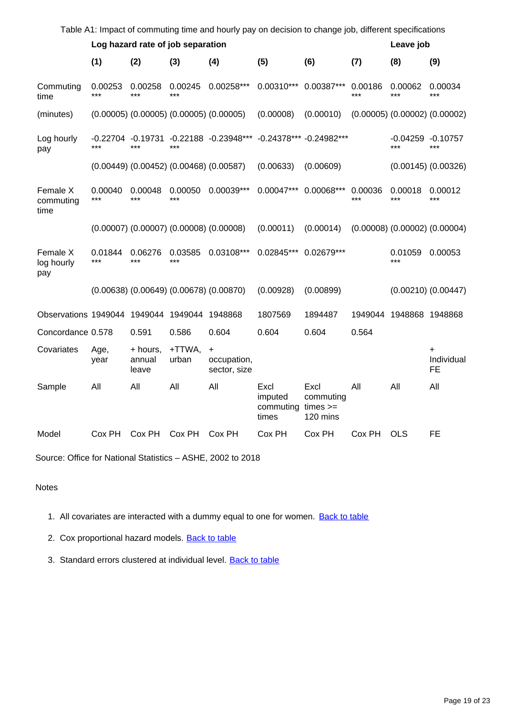| Table A1: Impact of commuting time and hourly pay on decision to change job, different specifications |                  |                             |                                   |                                                 |                                       |                                             |                |                             |                                     |  |
|-------------------------------------------------------------------------------------------------------|------------------|-----------------------------|-----------------------------------|-------------------------------------------------|---------------------------------------|---------------------------------------------|----------------|-----------------------------|-------------------------------------|--|
|                                                                                                       |                  |                             | Log hazard rate of job separation |                                                 |                                       |                                             | Leave job      |                             |                                     |  |
|                                                                                                       | (1)              | (2)                         | (3)                               | (4)                                             | (5)                                   | (6)                                         | (7)            | (8)                         | (9)                                 |  |
| Commuting<br>time                                                                                     | 0.00253<br>***   | 0.00258<br>$***$            | 0.00245<br>$***$                  | $0.00258***$                                    | $0.00310***$                          | $0.00387***$                                | 0.00186<br>*** | 0.00062<br>***              | 0.00034<br>***                      |  |
| (minutes)                                                                                             |                  |                             |                                   | $(0.00005)$ $(0.00005)$ $(0.00005)$ $(0.00005)$ | (0.00008)                             | (0.00010)                                   |                |                             | $(0.00005)$ $(0.00002)$ $(0.00002)$ |  |
| Log hourly<br>pay                                                                                     | -0.22704<br>***  | -0.19731<br>$***$           | ***                               | -0.22188 -0.23948***                            |                                       | -0.24378*** -0.24982***                     |                | $-0.04259 - 0.10757$<br>*** | $***$                               |  |
|                                                                                                       |                  |                             |                                   | $(0.00449)$ $(0.00452)$ $(0.00468)$ $(0.00587)$ | (0.00633)                             | (0.00609)                                   |                |                             | $(0.00145)$ $(0.00326)$             |  |
| Female X<br>commuting<br>time                                                                         | 0.00040<br>***   | 0.00048<br>***              | 0.00050<br>***                    | $0.00039***$                                    | $0.00047***$                          | 0.00068***                                  | 0.00036<br>*** | 0.00018<br>***              | 0.00012<br>***                      |  |
|                                                                                                       |                  |                             |                                   | $(0.00007)$ $(0.00007)$ $(0.00008)$ $(0.00008)$ | (0.00011)                             | (0.00014)                                   |                |                             | $(0.00008)$ $(0.00002)$ $(0.00004)$ |  |
| Female X<br>log hourly<br>pay                                                                         | 0.01844<br>$***$ | 0.06276<br>***              | 0.03585<br>***                    | 0.03108***                                      | 0.02845***                            | 0.02679***                                  |                | 0.01059<br>***              | 0.00053                             |  |
|                                                                                                       |                  |                             |                                   | $(0.00638)$ $(0.00649)$ $(0.00678)$ $(0.00870)$ | (0.00928)                             | (0.00899)                                   |                |                             | $(0.00210)$ $(0.00447)$             |  |
| Observations 1949044 1949044 1949044                                                                  |                  |                             |                                   | 1948868                                         | 1807569                               | 1894487                                     | 1949044        | 1948868 1948868             |                                     |  |
| Concordance 0.578                                                                                     |                  | 0.591                       | 0.586                             | 0.604                                           | 0.604                                 | 0.604                                       | 0.564          |                             |                                     |  |
| Covariates                                                                                            | Age,<br>year     | + hours,<br>annual<br>leave | +TTWA,<br>urban                   | $\ddot{}$<br>occupation,<br>sector, size        |                                       |                                             |                |                             | Individual<br><b>FE</b>             |  |
| Sample                                                                                                | All              | All                         | All                               | All                                             | Excl<br>imputed<br>commuting<br>times | Excl<br>commuting<br>$times >=$<br>120 mins | All            | All                         | All                                 |  |
| Model                                                                                                 | Cox PH           | Cox PH                      | Cox PH                            | Cox PH                                          | Cox PH                                | Cox PH                                      | Cox PH         | <b>OLS</b>                  | <b>FE</b>                           |  |

Source: Office for National Statistics – ASHE, 2002 to 2018

### Notes

1. All covariates are interacted with a dummy equal to one for women. **[Back to table](#page-0-0)** 

2. Cox proportional hazard models. **[Back to table](#page-0-0)** 

3. Standard errors clustered at individual level. **[Back to table](#page-0-0)**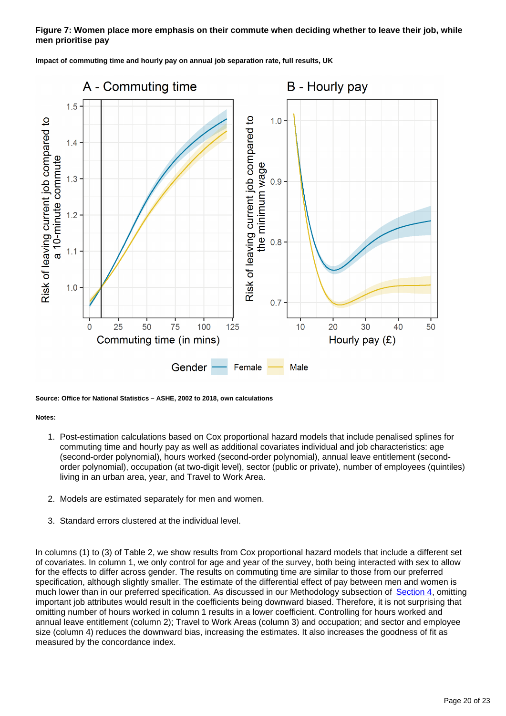### **Figure 7: Women place more emphasis on their commute when deciding whether to leave their job, while men prioritise pay**



**Impact of commuting time and hourly pay on annual job separation rate, full results, UK**

**Source: Office for National Statistics – ASHE, 2002 to 2018, own calculations**

### **Notes:**

- 1. Post-estimation calculations based on Cox proportional hazard models that include penalised splines for commuting time and hourly pay as well as additional covariates individual and job characteristics: age (second-order polynomial), hours worked (second-order polynomial), annual leave entitlement (secondorder polynomial), occupation (at two-digit level), sector (public or private), number of employees (quintiles) living in an urban area, year, and Travel to Work Area.
- 2. Models are estimated separately for men and women.
- 3. Standard errors clustered at the individual level.

In columns (1) to (3) of Table 2, we show results from Cox proportional hazard models that include a different set of covariates. In column 1, we only control for age and year of the survey, both being interacted with sex to allow for the effects to differ across gender. The results on commuting time are similar to those from our preferred specification, although slightly smaller. The estimate of the differential effect of pay between men and women is much lower than in our preferred specification. As discussed in our Methodology subsection of [Section 4,](https://www.ons.gov.uk/employmentandlabourmarket/peopleinwork/earningsandworkinghours/articles/genderdifferencesincommutetimeandpay/2019-09-04#do-men-and-women-value-different-job-characteristics-differently) omitting important job attributes would result in the coefficients being downward biased. Therefore, it is not surprising that omitting number of hours worked in column 1 results in a lower coefficient. Controlling for hours worked and annual leave entitlement (column 2); Travel to Work Areas (column 3) and occupation; and sector and employee size (column 4) reduces the downward bias, increasing the estimates. It also increases the goodness of fit as measured by the concordance index.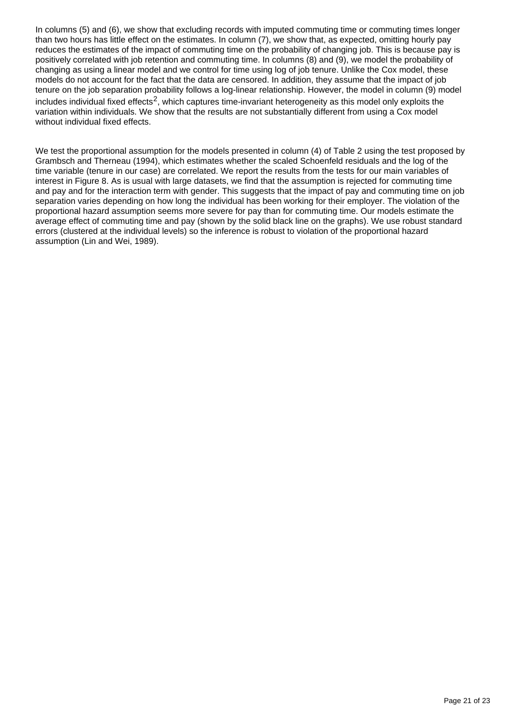In columns (5) and (6), we show that excluding records with imputed commuting time or commuting times longer than two hours has little effect on the estimates. In column (7), we show that, as expected, omitting hourly pay reduces the estimates of the impact of commuting time on the probability of changing job. This is because pay is positively correlated with job retention and commuting time. In columns (8) and (9), we model the probability of changing as using a linear model and we control for time using log of job tenure. Unlike the Cox model, these models do not account for the fact that the data are censored. In addition, they assume that the impact of job tenure on the job separation probability follows a log-linear relationship. However, the model in column (9) model includes individual fixed effects<sup>2</sup>, which captures time-invariant heterogeneity as this model only exploits the variation within individuals. We show that the results are not substantially different from using a Cox model without individual fixed effects.

We test the proportional assumption for the models presented in column (4) of Table 2 using the test proposed by Grambsch and Therneau (1994), which estimates whether the scaled Schoenfeld residuals and the log of the time variable (tenure in our case) are correlated. We report the results from the tests for our main variables of interest in Figure 8. As is usual with large datasets, we find that the assumption is rejected for commuting time and pay and for the interaction term with gender. This suggests that the impact of pay and commuting time on job separation varies depending on how long the individual has been working for their employer. The violation of the proportional hazard assumption seems more severe for pay than for commuting time. Our models estimate the average effect of commuting time and pay (shown by the solid black line on the graphs). We use robust standard errors (clustered at the individual levels) so the inference is robust to violation of the proportional hazard assumption (Lin and Wei, 1989).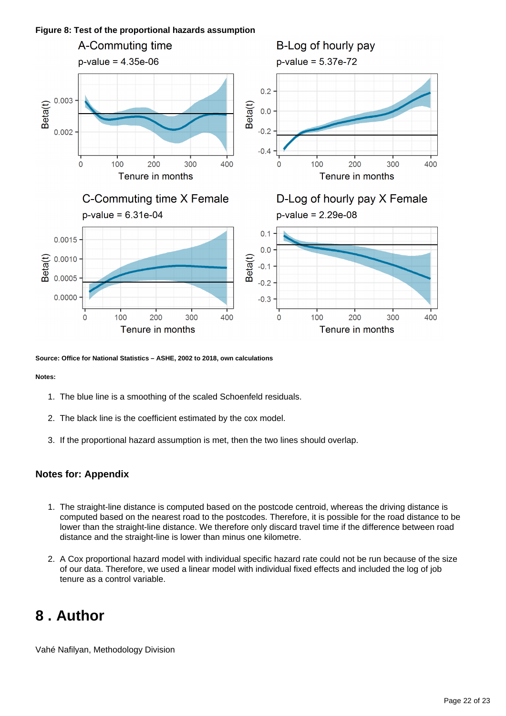

**Source: Office for National Statistics – ASHE, 2002 to 2018, own calculations**

### **Notes:**

- 1. The blue line is a smoothing of the scaled Schoenfeld residuals.
- 2. The black line is the coefficient estimated by the cox model.
- 3. If the proportional hazard assumption is met, then the two lines should overlap.

### **Notes for: Appendix**

- 1. The straight-line distance is computed based on the postcode centroid, whereas the driving distance is computed based on the nearest road to the postcodes. Therefore, it is possible for the road distance to be lower than the straight-line distance. We therefore only discard travel time if the difference between road distance and the straight-line is lower than minus one kilometre.
- 2. A Cox proportional hazard model with individual specific hazard rate could not be run because of the size of our data. Therefore, we used a linear model with individual fixed effects and included the log of job tenure as a control variable.

## <span id="page-21-0"></span>**8 . Author**

Vahé Nafilyan, Methodology Division